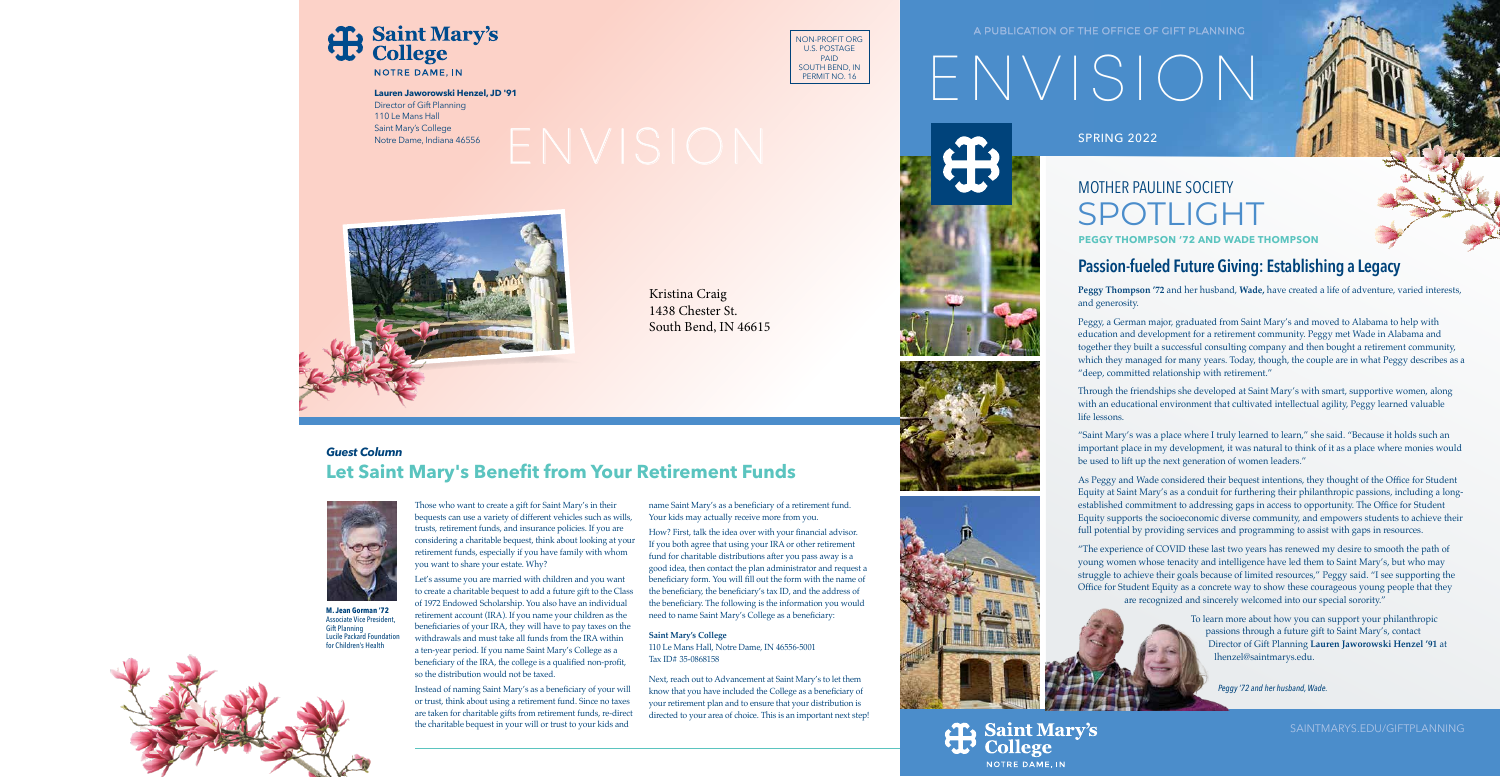### A PUBLICATION OF THE OFFICE OF GIFT PLANNING

# ENVISION

SPRING 2022

## MOTHER PAULINE SOCIETY SPOTLIGHT **PEGGY THOMPSON '72 AND WADE THOMPSON**

## **Passion-fueled Future Giving: Establishing a Legacy**

**Peggy Thompson '72** and her husband, **Wade,** have created a life of adventure, varied interests, and generosity.

Peggy, a German major, graduated from Saint Mary's and moved to Alabama to help with education and development for a retirement community. Peggy met Wade in Alabama and together they built a successful consulting company and then bought a retirement community, which they managed for many years. Today, though, the couple are in what Peggy describes as a "deep, committed relationship with retirement."

Through the friendships she developed at Saint Mary's with smart, supportive women, along with an educational environment that cultivated intellectual agility, Peggy learned valuable life lessons.

"Saint Mary's was a place where I truly learned to learn," she said. "Because it holds such an important place in my development, it was natural to think of it as a place where monies would be used to lift up the next generation of women leaders."

As Peggy and Wade considered their bequest intentions, they thought of the Office for Student Equity at Saint Mary's as a conduit for furthering their philanthropic passions, including a longestablished commitment to addressing gaps in access to opportunity. The Office for Student Equity supports the socioeconomic diverse community, and empowers students to achieve their full potential by providing services and programming to assist with gaps in resources.

"The experience of COVID these last two years has renewed my desire to smooth the path of young women whose tenacity and intelligence have led them to Saint Mary's, but who may struggle to achieve their goals because of limited resources," Peggy said. "I see supporting the Office for Student Equity as a concrete way to show these courageous young people that they are recognized and sincerely welcomed into our special sorority."

> To learn more about how you can support your philanthropic passions through a future gift to Saint Mary's, contact Director of Gift Planning **Lauren Jaworowski Henzel '91** at lhenzel@saintmarys.edu.

> > *Peggy '72 and her husband, Wade.*

**Saint Mary's** 

**NOTRE DAME, IN** 

SAINTMARYS.EDU/GIFTPLANNING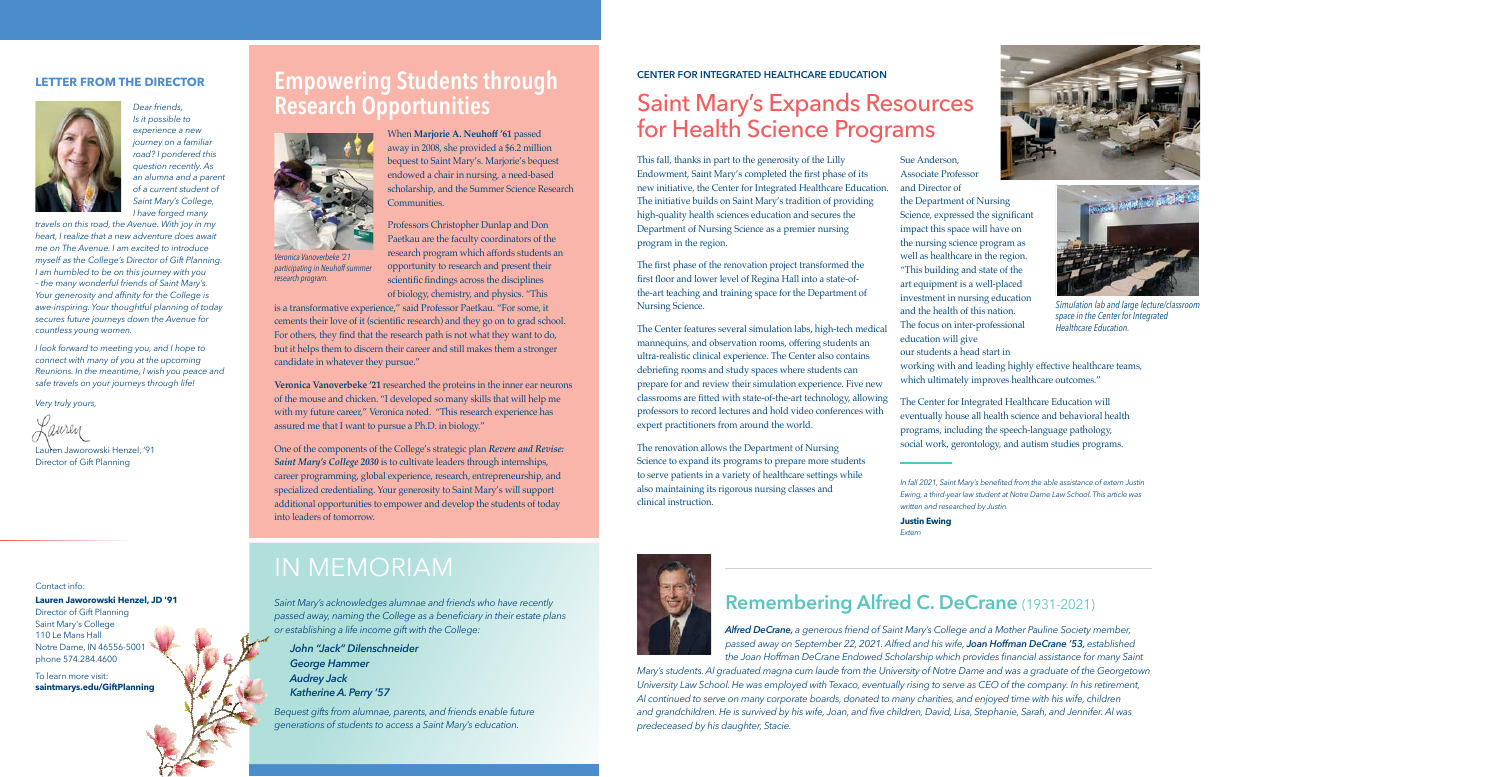

*Dear friends, Is it possible to experience a new journey on a familiar road? I pondered this question recently. As an alumna and a parent of a current student of Saint Mary's College, I have forged many* 

*travels on this road, the Avenue. With joy in my heart, I realize that a new adventure does await me on The Avenue. I am excited to introduce myself as the College's Director of Gift Planning. I am humbled to be on this journey with you – the many wonderful friends of Saint Mary's. Your generosity and affinity for the College is awe-inspiring. Your thoughtful planning of today secures future journeys down the Avenue for countless young women.*

*I look forward to meeting you, and I hope to connect with many of you at the upcoming Reunions. In the meantime, I wish you peace and safe travels on your journeys through life!*

*Very truly yours,*

'auren

Lauren Jaworowski Henzel, '91 Director of Gift Planning

Contact info:

### **Lauren Jaworowski Henzel, JD '91**

Director of Gift Planning Saint Mary's College 110 Le Mans Hall Notre Dame, IN 46556-5001 phone 574.284.4600

To learn more visit: **saintmarys.edu/GiftPlanning**

## **LETTER FROM THE DIRECTOR Empowering Students through Research Opportunities**



*Veronica Vanoverbeke '21 participating in Neuhoff summer research program.*

When **Marjorie A. Neuhoff '61** passed away in 2008, she provided a \$6.2 million bequest to Saint Mary's. Marjorie's bequest endowed a chair in nursing, a need-based scholarship, and the Summer Science Research **Communities** 

Professors Christopher Dunlap and Don Paetkau are the faculty coordinators of the research program which affords students an opportunity to research and present their scientific findings across the disciplines of biology, chemistry, and physics. "This

is a transformative experience," said Professor Paetkau. "For some, it cements their love of it (scientific research) and they go on to grad school. For others, they find that the research path is not what they want to do, but it helps them to discern their career and still makes them a stronger candidate in whatever they pursue."

**Veronica Vanoverbeke '21** researched the proteins in the inner ear neurons of the mouse and chicken. "I developed so many skills that will help me with my future career," Veronica noted. "This research experience has assured me that I want to pursue a Ph.D. in biology."

One of the components of the College's strategic plan *Revere and Revise: Saint Mary's College 2030* is to cultivate leaders through internships, career programming, global experience, research, entrepreneurship, and specialized credentialing. Your generosity to Saint Mary's will support additional opportunities to empower and develop the students of today into leaders of tomorrow.

## IN MEMORIAM

*Saint Mary's acknowledges alumnae and friends who have recently passed away, naming the College as a beneficiary in their estate plans or establishing a life income gift with the College:*

*John "Jack" Dilenschneider George Hammer Audrey Jack Katherine A. Perry '57*

*Bequest gifts from alumnae, parents, and friends enable future generations of students to access a Saint Mary's education.*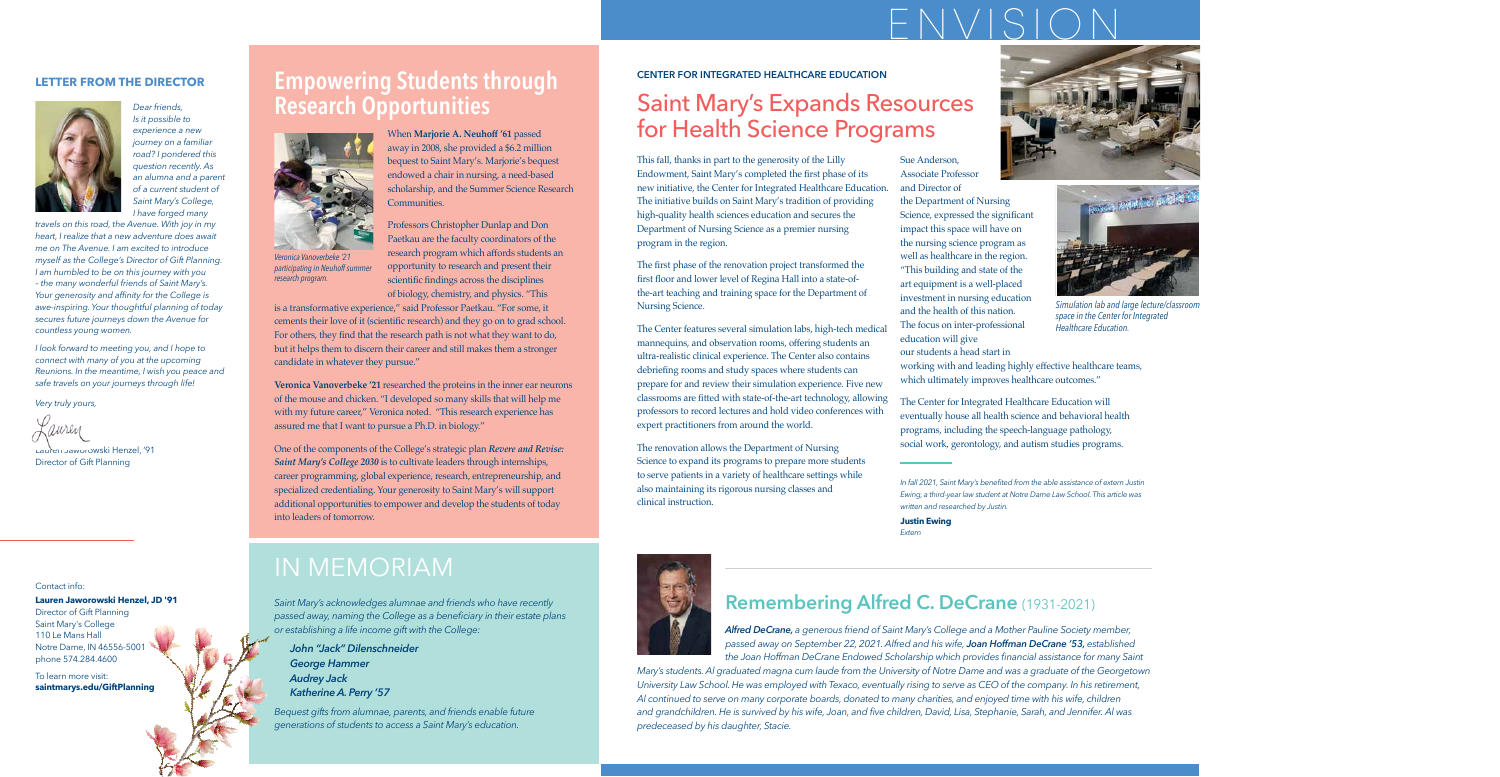## ENVISION

### **CENTER FOR INTEGRATED HEALTHCARE EDUCATION**

## Saint Mary's Expands Resources for Health Science Programs

This fall, thanks in part to the generosity of the Lilly Endowment, Saint Mary's completed the first phase of its new initiative, the Center for Integrated Healthcare Education. The initiative builds on Saint Mary's tradition of providing high-quality health sciences education and secures the Department of Nursing Science as a premier nursing program in the region.

The first phase of the renovation project transformed the first floor and lower level of Regina Hall into a state-ofthe-art teaching and training space for the Department of Nursing Science.

The Center features several simulation labs, high-tech medical mannequins, and observation rooms, offering students an ultra-realistic clinical experience. The Center also contains debriefing rooms and study spaces where students can prepare for and review their simulation experience. Five new classrooms are fitted with state-of-the-art technology, allowing professors to record lectures and hold video conferences with expert practitioners from around the world.

The renovation allows the Department of Nursing Science to expand its programs to prepare more students to serve patients in a variety of healthcare settings while also maintaining its rigorous nursing classes and clinical instruction.

Sue Anderson, Associate Professor and Director of the Department of Nursing Science, expressed the significant impact this space will have on the nursing science program as well as healthcare in the region. "This building and state of the art equipment is a well-placed investment in nursing education and the health of this nation. The focus on inter-professional education will give our students a head start in





*Simulation lab and large lecture/classroom space in the Center for Integrated Healthcare Education.*

working with and leading highly effective healthcare teams, which ultimately improves healthcare outcomes."

The Center for Integrated Healthcare Education will eventually house all health science and behavioral health programs, including the speech-language pathology, social work, gerontology, and autism studies programs.

*In fall 2021, Saint Mary's benefited from the able assistance of extern Justin Ewing, a third-year law student at Notre Dame Law School. This article was written and researched by Justin.*

**Justin Ewing** *Extern*



## **Remembering Alfred C. DeCrane** (1931-2021)

*Alfred DeCrane, a generous friend of Saint Mary's College and a Mother Pauline Society member, passed away on September 22, 2021. Alfred and his wife, Joan Hoffman DeCrane '53, established the Joan Hoffman DeCrane Endowed Scholarship which provides financial assistance for many Saint* 

*Mary's students. Al graduated magna cum laude from the University of Notre Dame and was a graduate of the Georgetown University Law School. He was employed with Texaco, eventually rising to serve as CEO of the company. In his retirement, Al continued to serve on many corporate boards, donated to many charities, and enjoyed time with his wife, children and grandchildren. He is survived by his wife, Joan, and five children, David, Lisa, Stephanie, Sarah, and Jennifer. Al was predeceased by his daughter, Stacie.*